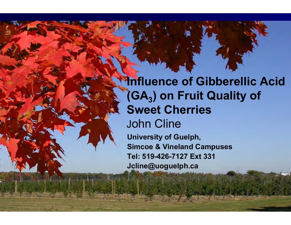Influence of Gibberellic Acid (GA $_{3}$ ) on Fruit Quality of Sweet Cherries

1

John Cline

Orchard and Vineyard Show, Traverse City, MI – Jan 21-22, 2009

 University of Guelph, Simcoe & Vineland CampusesTel: 519-426-7127 Ext 331Jcline@uoguelph.ca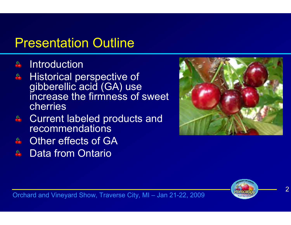# Presentation Outline

- **Introduction**
- Historical perspective of gibberellic acid (GA) use increase the firmness of sweet cherries
- Current labeled products and **recommendations**
- Other effects of GA
- Data from Ontario





2

Orchard and Vineyard Show, Traverse City, MI – Jan 21-22, 2009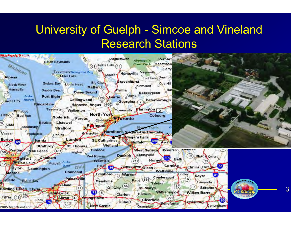## University of Guelph - Simcoe and Vineland Research Stations

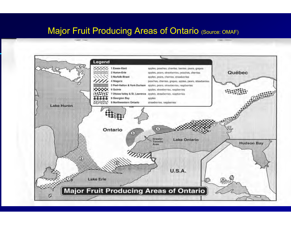#### **Major Fruit Producing Areas of Ontario (Source: OMAF)**

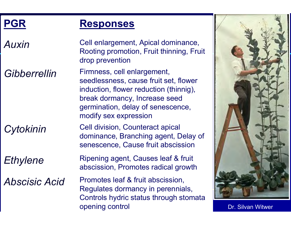### PGR

Auxin

**Gibberrellin** 

**Cytokinin** 

**Ethylene** 

Abscisic Acid

#### Responses

 Cell enlargement, Apical dominance, Rooting promotion, Fruit thinning, Fruit drop prevention

 Firmness, cell enlargement, seedlessness, cause fruit set, flower induction, flower reduction (thinnig), break dormancy, Increase seed germination, delay of senescence, modify sex expression

 Cell division, Counteract apical dominance, Branching agent, Delay of senescence, Cause fruit abscission

Ripening agent, Causes leaf & fruit abscission, Promotes radical growth

Controls hydric status through stomata *d* Promotes leaf & fruit abscission,<br>Regulates dormancy in perennials, opening control



Dr. Silvan Witwer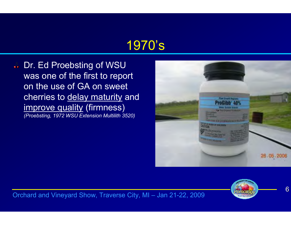# 1970's

4 Dr. Ed Proebsting of WSU was one of the first to report on the use of GA on sweet cherries to <u>delay maturity</u> and improve quality (firmness) (Proebsting, 1972 WSU Extension Multilith 3520)





6

Orchard and Vineyard Show, Traverse City, MI – Jan 21-22, 2009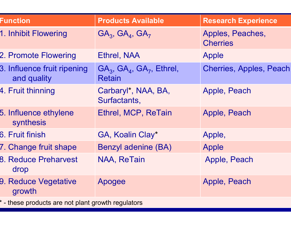| <b>Function</b>                                      | <b>Products Available</b>                        | <b>Research Experience</b>          |
|------------------------------------------------------|--------------------------------------------------|-------------------------------------|
| 1. Inhibit Flowering                                 | $GA_3$ , $GA_4$ , $GA_7$                         | Apples, Peaches,<br><b>Cherries</b> |
| 2. Promote Flowering                                 | <b>Ethrel, NAA</b>                               | Apple                               |
| 3. Influence fruit ripening<br>and quality           | $GA3$ , $GA4$ , $GA7$ , Ethrel,<br><b>Retain</b> | <b>Cherries, Apples, Peach</b>      |
| 4. Fruit thinning                                    | Carbaryl*, NAA, BA,<br>Surfactants,              | Apple, Peach                        |
| 5. Influence ethylene<br>synthesis                   | Ethrel, MCP, ReTain                              | Apple, Peach                        |
| 6. Fruit finish                                      | GA, Koalin Clay*                                 | Apple,                              |
| 7. Change fruit shape                                | Benzyl adenine (BA)                              | Apple                               |
| <b>8. Reduce Preharvest</b><br>drop                  | NAA, ReTain                                      | Apple, Peach                        |
| 9. Reduce Vegetative<br>growth                       | Apogee                                           | Apple, Peach                        |
| $*$ - these products are not plant growth regulators |                                                  |                                     |